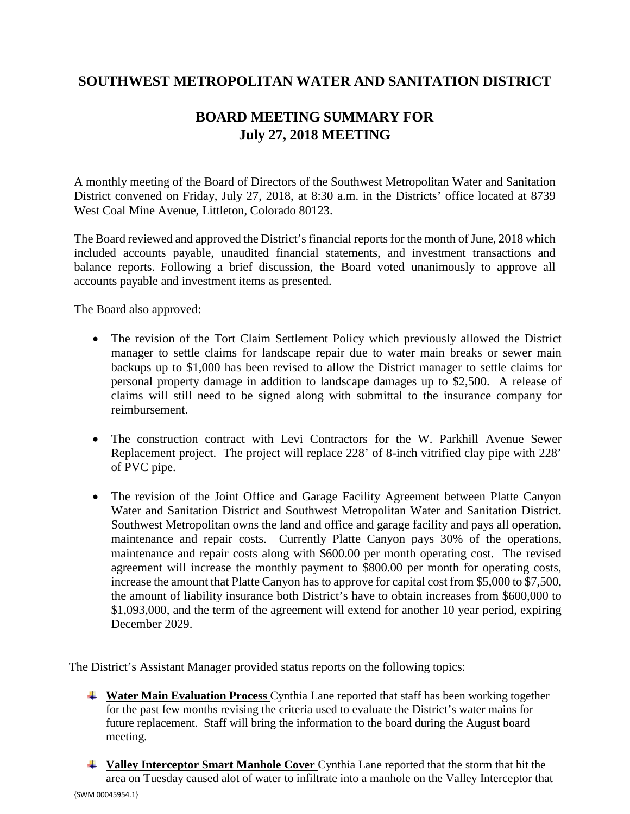## **SOUTHWEST METROPOLITAN WATER AND SANITATION DISTRICT**

## **BOARD MEETING SUMMARY FOR July 27, 2018 MEETING**

A monthly meeting of the Board of Directors of the Southwest Metropolitan Water and Sanitation District convened on Friday, July 27, 2018, at 8:30 a.m. in the Districts' office located at 8739 West Coal Mine Avenue, Littleton, Colorado 80123.

The Board reviewed and approved the District's financial reports for the month of June, 2018 which included accounts payable, unaudited financial statements, and investment transactions and balance reports. Following a brief discussion, the Board voted unanimously to approve all accounts payable and investment items as presented.

The Board also approved:

- The revision of the Tort Claim Settlement Policy which previously allowed the District manager to settle claims for landscape repair due to water main breaks or sewer main backups up to \$1,000 has been revised to allow the District manager to settle claims for personal property damage in addition to landscape damages up to \$2,500. A release of claims will still need to be signed along with submittal to the insurance company for reimbursement.
- The construction contract with Levi Contractors for the W. Parkhill Avenue Sewer Replacement project. The project will replace 228' of 8-inch vitrified clay pipe with 228' of PVC pipe.
- The revision of the Joint Office and Garage Facility Agreement between Platte Canyon Water and Sanitation District and Southwest Metropolitan Water and Sanitation District. Southwest Metropolitan owns the land and office and garage facility and pays all operation, maintenance and repair costs. Currently Platte Canyon pays 30% of the operations, maintenance and repair costs along with \$600.00 per month operating cost. The revised agreement will increase the monthly payment to \$800.00 per month for operating costs, increase the amount that Platte Canyon has to approve for capital cost from \$5,000 to \$7,500, the amount of liability insurance both District's have to obtain increases from \$600,000 to \$1,093,000, and the term of the agreement will extend for another 10 year period, expiring December 2029.

The District's Assistant Manager provided status reports on the following topics:

- **Water Main Evaluation Process** Cynthia Lane reported that staff has been working together for the past few months revising the criteria used to evaluate the District's water mains for future replacement. Staff will bring the information to the board during the August board meeting.
- {SWM 00045954.1} **Valley Interceptor Smart Manhole Cover** Cynthia Lane reported that the storm that hit the area on Tuesday caused alot of water to infiltrate into a manhole on the Valley Interceptor that